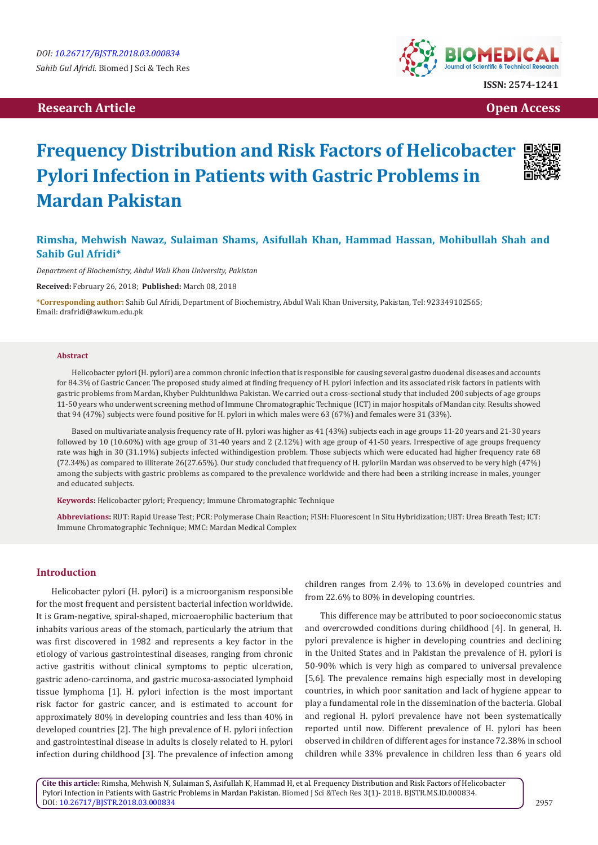## **Research Article Open Access Contract Article Open Access Open Access Open Access**



# **Frequency Distribution and Risk Factors of Helicobacter Pylori Infection in Patients with Gastric Problems in Mardan Pakistan**

# **Rimsha, Mehwish Nawaz, Sulaiman Shams, Asifullah Khan, Hammad Hassan, Mohibullah Shah and Sahib Gul Afridi\***

*Department of Biochemistry, Abdul Wali Khan University, Pakistan*

**Received:** February 26, 2018; **Published:** March 08, 2018

**\*Corresponding author:** Sahib Gul Afridi, Department of Biochemistry, Abdul Wali Khan University, Pakistan, Tel: 923349102565; Email: drafridi@awkum.edu.pk

#### **Abstract**

Helicobacter pylori (H. pylori) are a common chronic infection that is responsible for causing several gastro duodenal diseases and accounts for 84.3% of Gastric Cancer. The proposed study aimed at finding frequency of H. pylori infection and its associated risk factors in patients with gastric problems from Mardan, Khyber Pukhtunkhwa Pakistan. We carried out a cross-sectional study that included 200 subjects of age groups 11-50 years who underwent screening method of Immune Chromatographic Technique (ICT) in major hospitals of Mandan city. Results showed that 94 (47%) subjects were found positive for H. pylori in which males were 63 (67%) and females were 31 (33%).

Based on multivariate analysis frequency rate of H. pylori was higher as 41 (43%) subjects each in age groups 11-20 years and 21-30 years followed by 10 (10.60%) with age group of 31-40 years and 2 (2.12%) with age group of 41-50 years. Irrespective of age groups frequency rate was high in 30 (31.19%) subjects infected withindigestion problem. Those subjects which were educated had higher frequency rate 68 (72.34%) as compared to illiterate 26(27.65%). Our study concluded that frequency of H. pyloriin Mardan was observed to be very high (47%) among the subjects with gastric problems as compared to the prevalence worldwide and there had been a striking increase in males, younger and educated subjects.

**Keywords:** Helicobacter pylori; Frequency; Immune Chromatographic Technique

**Abbreviations:** RUT: Rapid Urease Test; PCR: Polymerase Chain Reaction; FISH: Fluorescent In Situ Hybridization; UBT: Urea Breath Test; ICT: Immune Chromatographic Technique; MMC: Mardan Medical Complex

## **Introduction**

Helicobacter pylori (H. pylori) is a microorganism responsible for the most frequent and persistent bacterial infection worldwide. It is Gram-negative, spiral-shaped, microaerophilic bacterium that inhabits various areas of the stomach, particularly the atrium that was first discovered in 1982 and represents a key factor in the etiology of various gastrointestinal diseases, ranging from chronic active gastritis without clinical symptoms to peptic ulceration, gastric adeno-carcinoma, and gastric mucosa-associated lymphoid tissue lymphoma [1]. H. pylori infection is the most important risk factor for gastric cancer, and is estimated to account for approximately 80% in developing countries and less than 40% in developed countries [2]. The high prevalence of H. pylori infection and gastrointestinal disease in adults is closely related to H. pylori infection during childhood [3]. The prevalence of infection among

children ranges from 2.4% to 13.6% in developed countries and from 22.6% to 80% in developing countries.

This difference may be attributed to poor socioeconomic status and overcrowded conditions during childhood [4]. In general, H. pylori prevalence is higher in developing countries and declining in the United States and in Pakistan the prevalence of H. pylori is 50-90% which is very high as compared to universal prevalence [5,6]. The prevalence remains high especially most in developing countries, in which poor sanitation and lack of hygiene appear to play a fundamental role in the dissemination of the bacteria. Global and regional H. pylori prevalence have not been systematically reported until now. Different prevalence of H. pylori has been observed in children of different ages for instance 72.38% in school children while 33% prevalence in children less than 6 years old

**Cite this article:** Rimsha, Mehwish N, Sulaiman S, Asifullah K, Hammad H, et al. Frequency Distribution and Risk Factors of Helicobacter Pylori Infection in Patients with Gastric Problems in Mardan Pakistan. Biomed J Sci &Tech Res 3(1)- 2018. BJSTR.MS.ID.000834. DOI: [10.26717/BJSTR.2018.03.00083](http://dx.doi.org/10.26717/BJSTR.2018.03.000834)4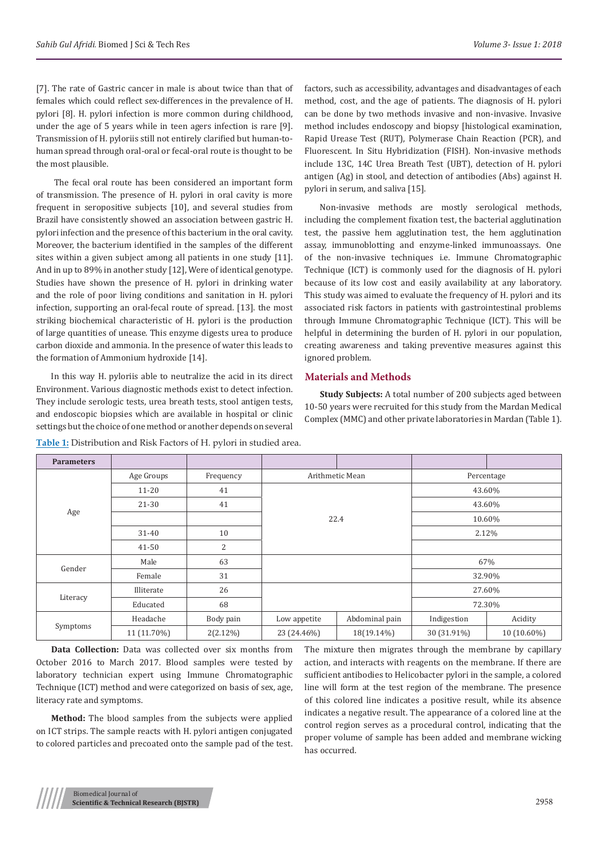[7]. The rate of Gastric cancer in male is about twice than that of females which could reflect sex-differences in the prevalence of H. pylori [8]. H. pylori infection is more common during childhood, under the age of 5 years while in teen agers infection is rare [9]. Transmission of H. pyloriis still not entirely clarified but human-tohuman spread through oral-oral or fecal-oral route is thought to be the most plausible.

 The fecal oral route has been considered an important form of transmission. The presence of H. pylori in oral cavity is more frequent in seropositive subjects [10], and several studies from Brazil have consistently showed an association between gastric H. pylori infection and the presence of this bacterium in the oral cavity. Moreover, the bacterium identified in the samples of the different sites within a given subject among all patients in one study [11]. And in up to 89% in another study [12], Were of identical genotype. Studies have shown the presence of H. pylori in drinking water and the role of poor living conditions and sanitation in H. pylori infection, supporting an oral-fecal route of spread. [13]. the most striking biochemical characteristic of H. pylori is the production of large quantities of unease. This enzyme digests urea to produce carbon dioxide and ammonia. In the presence of water this leads to the formation of Ammonium hydroxide [14].

In this way H. pyloriis able to neutralize the acid in its direct Environment. Various diagnostic methods exist to detect infection. They include serologic tests, urea breath tests, stool antigen tests, and endoscopic biopsies which are available in hospital or clinic settings but the choice of one method or another depends on several

factors, such as accessibility, advantages and disadvantages of each method, cost, and the age of patients. The diagnosis of H. pylori can be done by two methods invasive and non-invasive. Invasive method includes endoscopy and biopsy [histological examination, Rapid Urease Test (RUT), Polymerase Chain Reaction (PCR), and Fluorescent. In Situ Hybridization (FISH). Non-invasive methods include 13C, 14C Urea Breath Test (UBT), detection of H. pylori antigen (Ag) in stool, and detection of antibodies (Abs) against H. pylori in serum, and saliva [15].

Non-invasive methods are mostly serological methods, including the complement fixation test, the bacterial agglutination test, the passive hem agglutination test, the hem agglutination assay, immunoblotting and enzyme-linked immunoassays. One of the non-invasive techniques i.e. Immune Chromatographic Technique (ICT) is commonly used for the diagnosis of H. pylori because of its low cost and easily availability at any laboratory. This study was aimed to evaluate the frequency of H. pylori and its associated risk factors in patients with gastrointestinal problems through Immune Chromatographic Technique (ICT). This will be helpful in determining the burden of H. pylori in our population, creating awareness and taking preventive measures against this ignored problem.

## **Materials and Methods**

**Study Subjects:** A total number of 200 subjects aged between 10-50 years were recruited for this study from the Mardan Medical Complex (MMC) and other private laboratories in Mardan (Table 1).

| <b>Parameters</b> |             |                |                 |                |             |             |
|-------------------|-------------|----------------|-----------------|----------------|-------------|-------------|
| Age               | Age Groups  | Frequency      | Arithmetic Mean |                | Percentage  |             |
|                   | $11 - 20$   | 41             | 22.4            |                | 43.60%      |             |
|                   | 21-30       | 41             |                 |                | 43.60%      |             |
|                   |             |                |                 |                | 10.60%      |             |
|                   | 31-40       | 10             |                 |                | 2.12%       |             |
|                   | $41 - 50$   | $\overline{2}$ |                 |                |             |             |
| Gender            | Male        | 63             |                 |                | 67%         |             |
|                   | Female      | 31             |                 |                | 32.90%      |             |
| Literacy          | Illiterate  | 26             |                 |                | 27.60%      |             |
|                   | Educated    | 68             |                 |                | 72.30%      |             |
| Symptoms          | Headache    | Body pain      | Low appetite    | Abdominal pain | Indigestion | Acidity     |
|                   | 11 (11.70%) | $2(2.12\%)$    | 23 (24.46%)     | 18(19.14%)     | 30 (31.91%) | 10 (10.60%) |

**Table 1:** Distribution and Risk Factors of H. pylori in studied area.

**Data Collection:** Data was collected over six months from October 2016 to March 2017. Blood samples were tested by laboratory technician expert using Immune Chromatographic Technique (ICT) method and were categorized on basis of sex, age, literacy rate and symptoms.

**Method:** The blood samples from the subjects were applied on ICT strips. The sample reacts with H. pylori antigen conjugated to colored particles and precoated onto the sample pad of the test. The mixture then migrates through the membrane by capillary action, and interacts with reagents on the membrane. If there are sufficient antibodies to Helicobacter pylori in the sample, a colored line will form at the test region of the membrane. The presence of this colored line indicates a positive result, while its absence indicates a negative result. The appearance of a colored line at the control region serves as a procedural control, indicating that the proper volume of sample has been added and membrane wicking has occurred.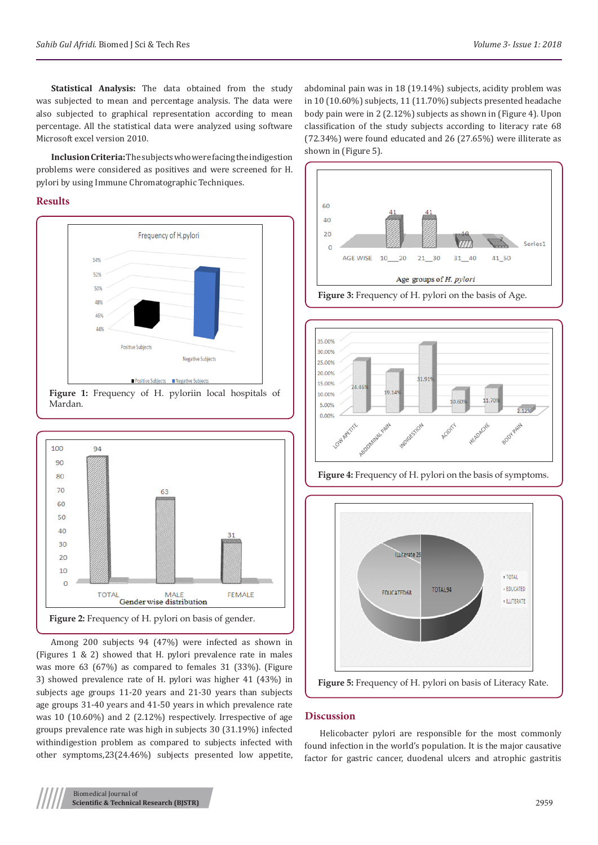**Statistical Analysis:** The data obtained from the study was subjected to mean and percentage analysis. The data were also subjected to graphical representation according to mean percentage. All the statistical data were analyzed using software Microsoft excel version 2010.

**Inclusion Criteria:** The subjects who were facing the indigestion problems were considered as positives and were screened for H. pylori by using Immune Chromatographic Techniques.

## **Results**



Mardan.



Among 200 subjects 94 (47%) were infected as shown in (Figures 1 & 2) showed that H. pylori prevalence rate in males was more 63 (67%) as compared to females 31 (33%). (Figure 3) showed prevalence rate of H. pylori was higher 41 (43%) in subjects age groups 11-20 years and 21-30 years than subjects age groups 31-40 years and 41-50 years in which prevalence rate was 10 (10.60%) and 2 (2.12%) respectively. Irrespective of age groups prevalence rate was high in subjects 30 (31.19%) infected withindigestion problem as compared to subjects infected with other symptoms,23(24.46%) subjects presented low appetite, abdominal pain was in 18 (19.14%) subjects, acidity problem was in 10 (10.60%) subjects, 11 (11.70%) subjects presented headache body pain were in 2 (2.12%) subjects as shown in (Figure 4). Upon classification of the study subjects according to literacy rate 68 (72.34%) were found educated and 26 (27.65%) were illiterate as shown in (Figure 5).









#### **Discussion**

Helicobacter pylori are responsible for the most commonly found infection in the world's population. It is the major causative factor for gastric cancer, duodenal ulcers and atrophic gastritis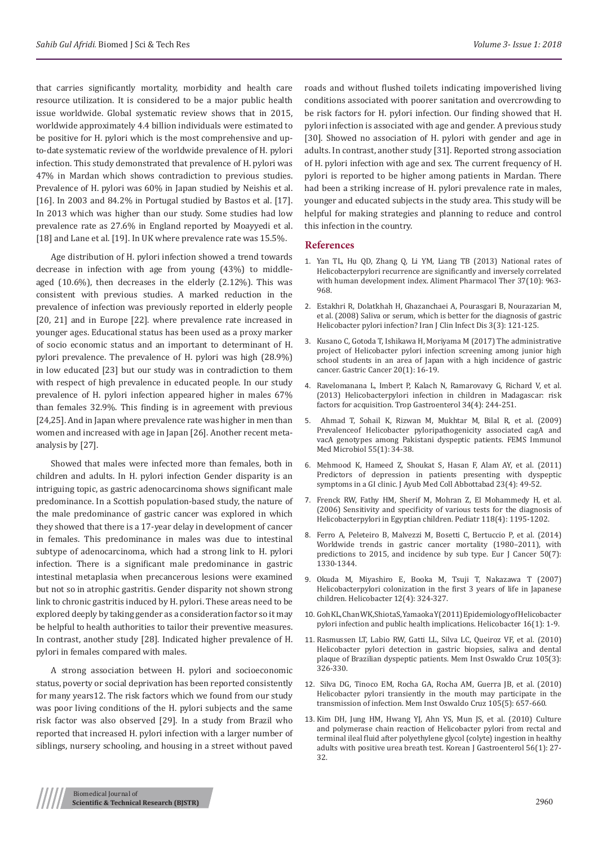that carries significantly mortality, morbidity and health care resource utilization. It is considered to be a major public health issue worldwide. Global systematic review shows that in 2015, worldwide approximately 4.4 billion individuals were estimated to be positive for H. pylori which is the most comprehensive and upto-date systematic review of the worldwide prevalence of H. pylori infection. This study demonstrated that prevalence of H. pylori was 47% in Mardan which shows contradiction to previous studies. Prevalence of H. pylori was 60% in Japan studied by Neishis et al. [16]. In 2003 and 84.2% in Portugal studied by Bastos et al. [17]. In 2013 which was higher than our study. Some studies had low prevalence rate as 27.6% in England reported by Moayyedi et al. [18] and Lane et al. [19]. In UK where prevalence rate was 15.5%.

Age distribution of H. pylori infection showed a trend towards decrease in infection with age from young (43%) to middleaged (10.6%), then decreases in the elderly (2.12%). This was consistent with previous studies. A marked reduction in the prevalence of infection was previously reported in elderly people [20, 21] and in Europe [22]. where prevalence rate increased in younger ages. Educational status has been used as a proxy marker of socio economic status and an important to determinant of H. pylori prevalence. The prevalence of H. pylori was high (28.9%) in low educated [23] but our study was in contradiction to them with respect of high prevalence in educated people. In our study prevalence of H. pylori infection appeared higher in males 67% than females 32.9%. This finding is in agreement with previous [24,25]. And in Japan where prevalence rate was higher in men than women and increased with age in Japan [26]. Another recent metaanalysis by [27].

Showed that males were infected more than females, both in children and adults. In H. pylori infection Gender disparity is an intriguing topic, as gastric adenocarcinoma shows significant male predominance. In a Scottish population-based study, the nature of the male predominance of gastric cancer was explored in which they showed that there is a 17-year delay in development of cancer in females. This predominance in males was due to intestinal subtype of adenocarcinoma, which had a strong link to H. pylori infection. There is a significant male predominance in gastric intestinal metaplasia when precancerous lesions were examined but not so in atrophic gastritis. Gender disparity not shown strong link to chronic gastritis induced by H. pylori. These areas need to be explored deeply by taking gender as a consideration factor so it may be helpful to health authorities to tailor their preventive measures. In contrast, another study [28]. Indicated higher prevalence of H. pylori in females compared with males.

A strong association between H. pylori and socioeconomic status, poverty or social deprivation has been reported consistently for many years12. The risk factors which we found from our study was poor living conditions of the H. pylori subjects and the same risk factor was also observed [29]. In a study from Brazil who reported that increased H. pylori infection with a larger number of siblings, nursery schooling, and housing in a street without paved

roads and without flushed toilets indicating impoverished living conditions associated with poorer sanitation and overcrowding to be risk factors for H. pylori infection. Our finding showed that H. pylori infection is associated with age and gender. A previous study [30]. Showed no association of H. pylori with gender and age in adults. In contrast, another study [31]. Reported strong association of H. pylori infection with age and sex. The current frequency of H. pylori is reported to be higher among patients in Mardan. There had been a striking increase of H. pylori prevalence rate in males, younger and educated subjects in the study area. This study will be helpful for making strategies and planning to reduce and control this infection in the country.

## **References**

- 1. [Yan TL, Hu QD, Zhang Q, Li YM, Liang TB \(2013\) National rates of](http://onlinelibrary.wiley.com/doi/10.1111/apt.12293/abstract) Helicobacterpylor[i recurrence are significantly and inversely correlated](http://onlinelibrary.wiley.com/doi/10.1111/apt.12293/abstract) [with human development index. Aliment Pharmacol Ther 37\(10\): 963-](http://onlinelibrary.wiley.com/doi/10.1111/apt.12293/abstract) [968.](http://onlinelibrary.wiley.com/doi/10.1111/apt.12293/abstract)
- 2. [Estakhri R, Dolatkhah H, Ghazanchaei A, Pourasgari B, Nourazarian M,](https://www.researchgate.net/publication/237567581_Saliva_or_serum_which_is_better_for_the_diagnosis_of_gastric_Helicobacter_pylori_infection) [et al. \(2008\) Saliva or serum, which is better for the diagnosis of gastric](https://www.researchgate.net/publication/237567581_Saliva_or_serum_which_is_better_for_the_diagnosis_of_gastric_Helicobacter_pylori_infection) [Helicobacter pylori infection? Iran J Clin Infect Dis 3\(3\): 121-125.](https://www.researchgate.net/publication/237567581_Saliva_or_serum_which_is_better_for_the_diagnosis_of_gastric_Helicobacter_pylori_infection)
- 3. [Kusano C, Gotoda T, Ishikawa H, Moriyama M \(2017\) The administrative](https://www.ncbi.nlm.nih.gov/pubmed/28093653) [project of Helicobacter pylori infection screening among junior high](https://www.ncbi.nlm.nih.gov/pubmed/28093653) [school students in an area of Japan with a high incidence of gastric](https://www.ncbi.nlm.nih.gov/pubmed/28093653) [cancer. Gastric Cancer 20\(1\): 16-19.](https://www.ncbi.nlm.nih.gov/pubmed/28093653)
- 4. [Ravelomanana L, Imbert P, Kalach N, Ramarovavy G, Richard V, et al.](https://www.ncbi.nlm.nih.gov/pubmed/25046887) [\(2013\) Helicobacterpylori infection in children in Madagascar: risk](https://www.ncbi.nlm.nih.gov/pubmed/25046887) [factors for acquisition. Trop Gastroenterol 34\(4\): 244-251.](https://www.ncbi.nlm.nih.gov/pubmed/25046887)
- 5. [Ahmad T, Sohail K, Rizwan M, Mukhtar M, Bilal R, et al. \(2009\)](https://www.ncbi.nlm.nih.gov/pubmed/19040660) [Prevalenceof Helicobacter pyloripathogenicity associated cagA and](https://www.ncbi.nlm.nih.gov/pubmed/19040660) [vacA genotypes among Pakistani dyspeptic patients. FEMS Immunol](https://www.ncbi.nlm.nih.gov/pubmed/19040660) [Med Microbiol 55\(1\): 34-38.](https://www.ncbi.nlm.nih.gov/pubmed/19040660)
- 6. [Mehmood K, Hameed Z, Shoukat S, Hasan F, Alam AY, et al. \(2011\)](https://www.ncbi.nlm.nih.gov/pubmed/23472412) [Predictors of depression in patients presenting with dyspeptic](https://www.ncbi.nlm.nih.gov/pubmed/23472412) [symptoms in a GI clinic. J Ayub Med Coll Abbottabad 23\(4\): 49-52.](https://www.ncbi.nlm.nih.gov/pubmed/23472412)
- 7. [Frenck RW, Fathy HM, Sherif M, Mohran Z, El Mohammedy H, et al.](https://www.ncbi.nlm.nih.gov/pubmed/16982805) [\(2006\) Sensitivity and specificity of various tests for the diagnosis of](https://www.ncbi.nlm.nih.gov/pubmed/16982805) [Helicobacterpylori in Egyptian children. Pediatr 118\(4\): 1195-1202.](https://www.ncbi.nlm.nih.gov/pubmed/16982805)
- 8. [Ferro A, Peleteiro B, Malvezzi M, Bosetti C, Bertuccio P, et al. \(2014\)](https://www.ncbi.nlm.nih.gov/pubmed/24650579) [Worldwide trends in gastric cancer mortality \(1980–2011\), with](https://www.ncbi.nlm.nih.gov/pubmed/24650579) [predictions to 2015, and incidence by sub type. Eur J Cancer 50\(7\):](https://www.ncbi.nlm.nih.gov/pubmed/24650579) [1330-1344.](https://www.ncbi.nlm.nih.gov/pubmed/24650579)
- 9. [Okuda M, Miyashiro E, Booka M, Tsuji T, Nakazawa T \(2007\)](http://onlinelibrary.wiley.com/doi/10.1111/j.1523-5378.2007.00510.x/full) [Helicobacterpylori colonization in the first 3 years of life in Japanese](http://onlinelibrary.wiley.com/doi/10.1111/j.1523-5378.2007.00510.x/full) [children. Helicobacter 12\(4\): 324-327.](http://onlinelibrary.wiley.com/doi/10.1111/j.1523-5378.2007.00510.x/full)
- 10. [Goh KL, Chan WK, Shiota S, Yamaoka Y \(2011\) Epidemiology ofHelicobacter](https://www.ncbi.nlm.nih.gov/pubmed/21896079) pylori [infection and public health implications.](https://www.ncbi.nlm.nih.gov/pubmed/21896079) Helicobacter 16(1): 1-9.
- 11. [Rasmussen LT, Labio RW, Gatti LL, Silva LC, Queiroz VF, et al. \(2010\)](https://www.ncbi.nlm.nih.gov/pubmed/20512249) [Helicobacter pylori detection in gastric biopsies, saliva and dental](https://www.ncbi.nlm.nih.gov/pubmed/20512249) [plaque of Brazilian dyspeptic patients. Mem Inst Oswaldo Cruz 105\(3\):](https://www.ncbi.nlm.nih.gov/pubmed/20512249) [326-330.](https://www.ncbi.nlm.nih.gov/pubmed/20512249)
- 12. [Silva DG, Tinoco EM, Rocha GA, Rocha AM, Guerra JB, et al. \(2010\)](https://www.ncbi.nlm.nih.gov/pubmed/20835612) [Helicobacter pylori transiently in the mouth may participate in the](https://www.ncbi.nlm.nih.gov/pubmed/20835612) [transmission of infection. Mem Inst Oswaldo Cruz 105\(5\): 657-660.](https://www.ncbi.nlm.nih.gov/pubmed/20835612)
- 13. [Kim DH, Jung HM, Hwang YJ, Ahn YS, Mun JS, et al. \(2010\) Culture](https://www.ncbi.nlm.nih.gov/pubmed/20664315) [and polymerase chain reaction of Helicobacter pylori from rectal and](https://www.ncbi.nlm.nih.gov/pubmed/20664315) [terminal ileal fluid after polyethylene glycol \(colyte\) ingestion in healthy](https://www.ncbi.nlm.nih.gov/pubmed/20664315) [adults with positive urea breath test. Korean J Gastroenterol 56\(1\): 27-](https://www.ncbi.nlm.nih.gov/pubmed/20664315) [32.](https://www.ncbi.nlm.nih.gov/pubmed/20664315)